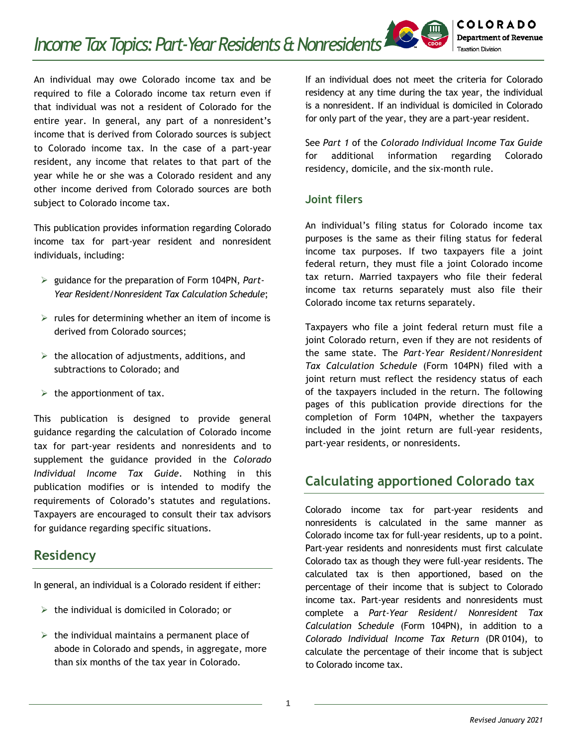An individual may owe Colorado income tax and be required to file a Colorado income tax return even if that individual was not a resident of Colorado for the entire year. In general, any part of a nonresident's income that is derived from Colorado sources is subject to Colorado income tax. In the case of a part-year resident, any income that relates to that part of the year while he or she was a Colorado resident and any other income derived from Colorado sources are both subject to Colorado income tax.

This publication provides information regarding Colorado income tax for part-year resident and nonresident individuals, including:

- guidance for the preparation of Form 104PN, *Part-Year Resident/Nonresident Tax Calculation Schedule*;
- $\triangleright$  rules for determining whether an item of income is derived from Colorado sources;
- $\triangleright$  the allocation of adjustments, additions, and subtractions to Colorado; and
- $\triangleright$  the apportionment of tax.

This publication is designed to provide general guidance regarding the calculation of Colorado income tax for part-year residents and nonresidents and to supplement the guidance provided in the *Colorado Individual Income Tax Guide*. Nothing in this publication modifies or is intended to modify the requirements of Colorado's statutes and regulations. Taxpayers are encouraged to consult their tax advisors for guidance regarding specific situations.

# **Residency**

In general, an individual is a Colorado resident if either:

- $\triangleright$  the individual is domiciled in Colorado; or
- $\triangleright$  the individual maintains a permanent place of abode in Colorado and spends, in aggregate, more than six months of the tax year in Colorado.

If an individual does not meet the criteria for Colorado residency at any time during the tax year, the individual is a nonresident. If an individual is domiciled in Colorado for only part of the year, they are a part-year resident.

See *Part 1* of the *Colorado Individual Income Tax Guide* for additional information regarding Colorado residency, domicile, and the six-month rule.

### **Joint filers**

An individual's filing status for Colorado income tax purposes is the same as their filing status for federal income tax purposes. If two taxpayers file a joint federal return, they must file a joint Colorado income tax return. Married taxpayers who file their federal income tax returns separately must also file their Colorado income tax returns separately.

Taxpayers who file a joint federal return must file a joint Colorado return, even if they are not residents of the same state. The *Part-Year Resident/Nonresident Tax Calculation Schedule* (Form 104PN) filed with a joint return must reflect the residency status of each of the taxpayers included in the return. The following pages of this publication provide directions for the completion of Form 104PN, whether the taxpayers included in the joint return are full-year residents, part-year residents, or nonresidents.

# **Calculating apportioned Colorado tax**

Colorado income tax for part-year residents and nonresidents is calculated in the same manner as Colorado income tax for full-year residents, up to a point. Part-year residents and nonresidents must first calculate Colorado tax as though they were full-year residents. The calculated tax is then apportioned, based on the percentage of their income that is subject to Colorado income tax. Part-year residents and nonresidents must complete a *Part-Year Resident/ Nonresident Tax Calculation Schedule* (Form 104PN), in addition to a *Colorado Individual Income Tax Return* (DR 0104), to calculate the percentage of their income that is subject to Colorado income tax.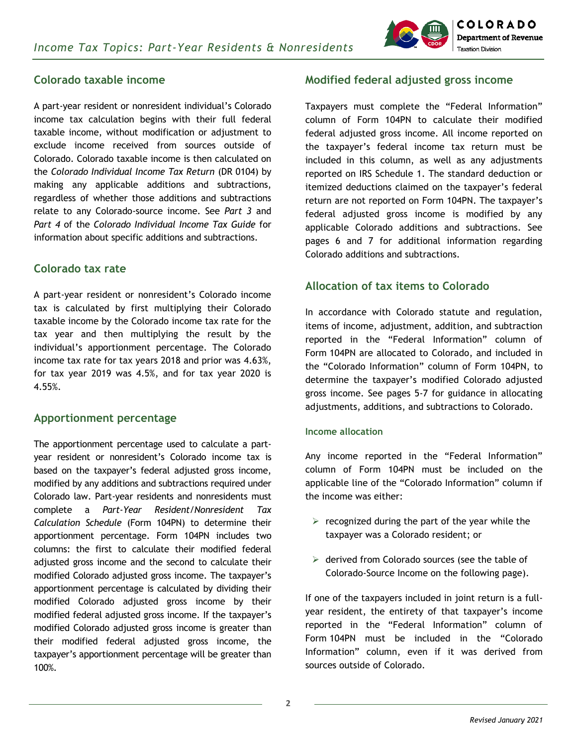

### **Colorado taxable income**

A part-year resident or nonresident individual's Colorado income tax calculation begins with their full federal taxable income, without modification or adjustment to exclude income received from sources outside of Colorado. Colorado taxable income is then calculated on the *Colorado Individual Income Tax Return* (DR 0104) by making any applicable additions and subtractions, regardless of whether those additions and subtractions relate to any Colorado-source income. See *Part 3* and *Part 4* of the *Colorado Individual Income Tax Guide* for information about specific additions and subtractions.

#### **Colorado tax rate**

A part-year resident or nonresident's Colorado income tax is calculated by first multiplying their Colorado taxable income by the Colorado income tax rate for the tax year and then multiplying the result by the individual's apportionment percentage. The Colorado income tax rate for tax years 2018 and prior was 4.63%, for tax year 2019 was 4.5%, and for tax year 2020 is 4.55%.

#### **Apportionment percentage**

The apportionment percentage used to calculate a partyear resident or nonresident's Colorado income tax is based on the taxpayer's federal adjusted gross income, modified by any additions and subtractions required under Colorado law. Part-year residents and nonresidents must complete a *Part-Year Resident/Nonresident Tax Calculation Schedule* (Form 104PN) to determine their apportionment percentage. Form 104PN includes two columns: the first to calculate their modified federal adjusted gross income and the second to calculate their modified Colorado adjusted gross income. The taxpayer's apportionment percentage is calculated by dividing their modified Colorado adjusted gross income by their modified federal adjusted gross income. If the taxpayer's modified Colorado adjusted gross income is greater than their modified federal adjusted gross income, the taxpayer's apportionment percentage will be greater than 100%.

### **Modified federal adjusted gross income**

Taxpayers must complete the "Federal Information" column of Form 104PN to calculate their modified federal adjusted gross income. All income reported on the taxpayer's federal income tax return must be included in this column, as well as any adjustments reported on IRS Schedule 1. The standard deduction or itemized deductions claimed on the taxpayer's federal return are not reported on Form 104PN. The taxpayer's federal adjusted gross income is modified by any applicable Colorado additions and subtractions. See pages 6 and 7 for additional information regarding Colorado additions and subtractions.

### **Allocation of tax items to Colorado**

In accordance with Colorado statute and regulation, items of income, adjustment, addition, and subtraction reported in the "Federal Information" column of Form 104PN are allocated to Colorado, and included in the "Colorado Information" column of Form 104PN, to determine the taxpayer's modified Colorado adjusted gross income. See pages 5-7 for guidance in allocating adjustments, additions, and subtractions to Colorado.

#### **Income allocation**

Any income reported in the "Federal Information" column of Form 104PN must be included on the applicable line of the "Colorado Information" column if the income was either:

- $\triangleright$  recognized during the part of the year while the taxpayer was a Colorado resident; or
- $\triangleright$  derived from Colorado sources (see the table of Colorado-Source Income on the following page).

If one of the taxpayers included in joint return is a fullyear resident, the entirety of that taxpayer's income reported in the "Federal Information" column of Form 104PN must be included in the "Colorado Information" column, even if it was derived from sources outside of Colorado.

**2**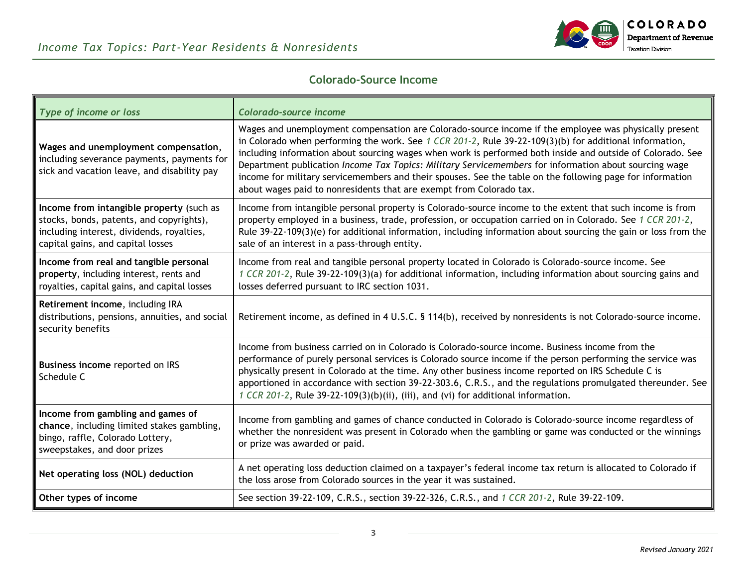

### **Colorado-Source Income**

| Type of income or loss                                                                                                                                                 | Colorado-source income                                                                                                                                                                                                                                                                                                                                                                                                                                                                                                                                                                                                        |  |
|------------------------------------------------------------------------------------------------------------------------------------------------------------------------|-------------------------------------------------------------------------------------------------------------------------------------------------------------------------------------------------------------------------------------------------------------------------------------------------------------------------------------------------------------------------------------------------------------------------------------------------------------------------------------------------------------------------------------------------------------------------------------------------------------------------------|--|
| Wages and unemployment compensation,<br>including severance payments, payments for<br>sick and vacation leave, and disability pay                                      | Wages and unemployment compensation are Colorado-source income if the employee was physically present<br>in Colorado when performing the work. See 1 CCR 201-2, Rule $39-22-109(3)(b)$ for additional information,<br>including information about sourcing wages when work is performed both inside and outside of Colorado. See<br>Department publication Income Tax Topics: Military Servicemembers for information about sourcing wage<br>income for military servicemembers and their spouses. See the table on the following page for information<br>about wages paid to nonresidents that are exempt from Colorado tax. |  |
| Income from intangible property (such as<br>stocks, bonds, patents, and copyrights),<br>including interest, dividends, royalties,<br>capital gains, and capital losses | Income from intangible personal property is Colorado-source income to the extent that such income is from<br>property employed in a business, trade, profession, or occupation carried on in Colorado. See 1 CCR 201-2,<br>Rule 39-22-109(3)(e) for additional information, including information about sourcing the gain or loss from the<br>sale of an interest in a pass-through entity.                                                                                                                                                                                                                                   |  |
| Income from real and tangible personal<br>property, including interest, rents and<br>royalties, capital gains, and capital losses                                      | Income from real and tangible personal property located in Colorado is Colorado-source income. See<br>1 CCR 201-2, Rule 39-22-109(3)(a) for additional information, including information about sourcing gains and<br>losses deferred pursuant to IRC section 1031.                                                                                                                                                                                                                                                                                                                                                           |  |
| Retirement income, including IRA<br>distributions, pensions, annuities, and social<br>security benefits                                                                | Retirement income, as defined in 4 U.S.C. § 114(b), received by nonresidents is not Colorado-source income.                                                                                                                                                                                                                                                                                                                                                                                                                                                                                                                   |  |
| Business income reported on IRS<br>Schedule C                                                                                                                          | Income from business carried on in Colorado is Colorado-source income. Business income from the<br>performance of purely personal services is Colorado source income if the person performing the service was<br>physically present in Colorado at the time. Any other business income reported on IRS Schedule C is<br>apportioned in accordance with section 39-22-303.6, C.R.S., and the regulations promulgated thereunder. See<br>1 CCR 201-2, Rule 39-22-109(3)(b)(ii), (iii), and (vi) for additional information.                                                                                                     |  |
| Income from gambling and games of<br>chance, including limited stakes gambling,<br>bingo, raffle, Colorado Lottery,<br>sweepstakes, and door prizes                    | Income from gambling and games of chance conducted in Colorado is Colorado-source income regardless of<br>whether the nonresident was present in Colorado when the gambling or game was conducted or the winnings<br>or prize was awarded or paid.                                                                                                                                                                                                                                                                                                                                                                            |  |
| Net operating loss (NOL) deduction                                                                                                                                     | A net operating loss deduction claimed on a taxpayer's federal income tax return is allocated to Colorado if<br>the loss arose from Colorado sources in the year it was sustained.                                                                                                                                                                                                                                                                                                                                                                                                                                            |  |
| Other types of income                                                                                                                                                  | See section 39-22-109, C.R.S., section 39-22-326, C.R.S., and 1 CCR 201-2, Rule 39-22-109.                                                                                                                                                                                                                                                                                                                                                                                                                                                                                                                                    |  |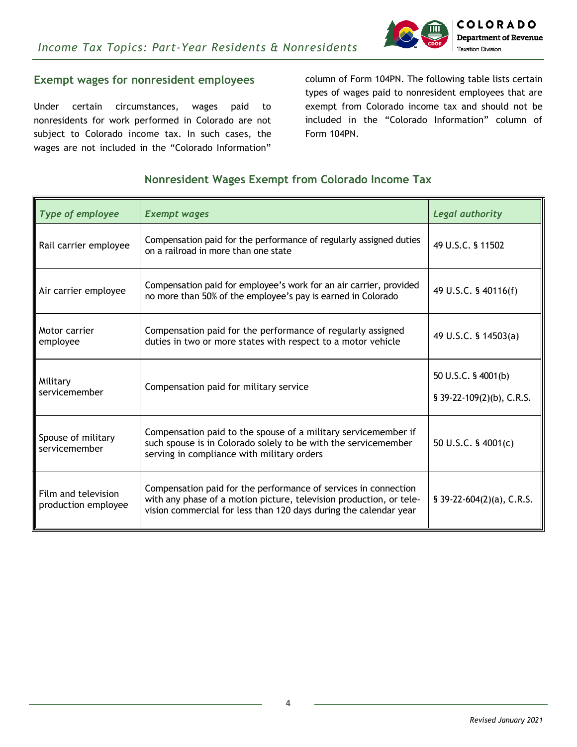

### **Exempt wages for nonresident employees**

Under certain circumstances, wages paid to nonresidents for work performed in Colorado are not subject to Colorado income tax. In such cases, the wages are not included in the "Colorado Information"

column of Form 104PN. The following table lists certain types of wages paid to nonresident employees that are exempt from Colorado income tax and should not be included in the "Colorado Information" column of Form 104PN.

### **Nonresident Wages Exempt from Colorado Income Tax**

| Type of employee                           | <b>Exempt wages</b>                                                                                                                                                                                         | Legal authority                                  |
|--------------------------------------------|-------------------------------------------------------------------------------------------------------------------------------------------------------------------------------------------------------------|--------------------------------------------------|
| Rail carrier employee                      | Compensation paid for the performance of regularly assigned duties<br>on a railroad in more than one state                                                                                                  | 49 U.S.C. § 11502                                |
| Air carrier employee                       | Compensation paid for employee's work for an air carrier, provided<br>no more than 50% of the employee's pay is earned in Colorado                                                                          | 49 U.S.C. § 40116(f)                             |
| Motor carrier<br>employee                  | Compensation paid for the performance of regularly assigned<br>duties in two or more states with respect to a motor vehicle                                                                                 | 49 U.S.C. § 14503(a)                             |
| Military<br>servicemember                  | Compensation paid for military service                                                                                                                                                                      | 50 U.S.C. § 4001(b)<br>§ 39-22-109(2)(b), C.R.S. |
| Spouse of military<br>servicemember        | Compensation paid to the spouse of a military servicemember if<br>such spouse is in Colorado solely to be with the servicemember<br>serving in compliance with military orders                              | 50 U.S.C. § 4001(c)                              |
| Film and television<br>production employee | Compensation paid for the performance of services in connection<br>with any phase of a motion picture, television production, or tele-<br>vision commercial for less than 120 days during the calendar year | § $39-22-604(2)(a)$ , C.R.S.                     |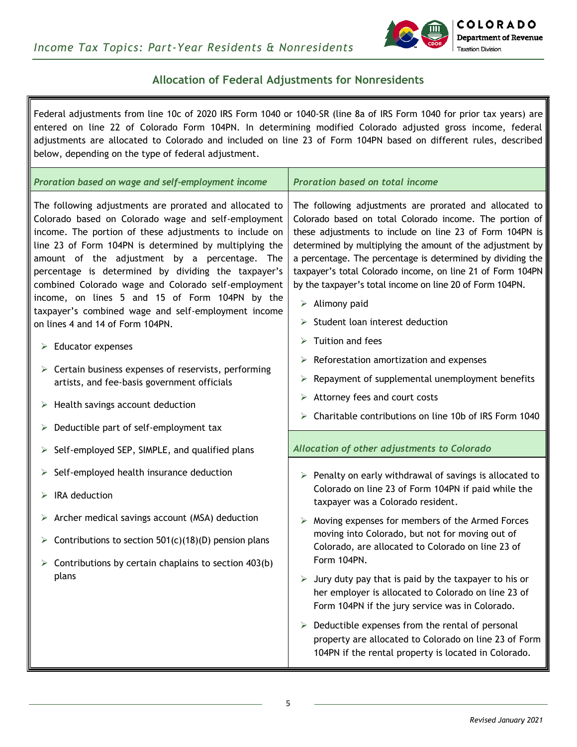

### **Allocation of Federal Adjustments for Nonresidents**

Federal adjustments from line 10c of 2020 IRS Form 1040 or 1040-SR (line 8a of IRS Form 1040 for prior tax years) are entered on line 22 of Colorado Form 104PN. In determining modified Colorado adjusted gross income, federal adjustments are allocated to Colorado and included on line 23 of Form 104PN based on different rules, described below, depending on the type of federal adjustment. *Proration based on wage and self-employment income Proration based on total income* The following adjustments are prorated and allocated to Colorado based on Colorado wage and self-employment income. The portion of these adjustments to include on line 23 of Form 104PN is determined by multiplying the amount of the adjustment by a percentage. The percentage is determined by dividing the taxpayer's combined Colorado wage and Colorado self-employment income, on lines 5 and 15 of Form 104PN by the The following adjustments are prorated and allocated to Colorado based on total Colorado income. The portion of these adjustments to include on line 23 of Form 104PN is determined by multiplying the amount of the adjustment by a percentage. The percentage is determined by dividing the taxpayer's total Colorado income, on line 21 of Form 104PN by the taxpayer's total income on line 20 of Form 104PN.

- $\triangleright$  Alimony paid
- $\triangleright$  Student loan interest deduction
- $\triangleright$  Tuition and fees
- $\triangleright$  Reforestation amortization and expenses
- $\triangleright$  Repayment of supplemental unemployment benefits
- $\triangleright$  Attorney fees and court costs
- Charitable contributions on line 10b of IRS Form 1040

#### *Allocation of other adjustments to Colorado*

- $\triangleright$  Penalty on early withdrawal of savings is allocated to Colorado on line 23 of Form 104PN if paid while the taxpayer was a Colorado resident.
- $\triangleright$  Moving expenses for members of the Armed Forces moving into Colorado, but not for moving out of Colorado, are allocated to Colorado on line 23 of Form 104PN.
- $\triangleright$  Jury duty pay that is paid by the taxpayer to his or her employer is allocated to Colorado on line 23 of Form 104PN if the jury service was in Colorado.
- $\triangleright$  Deductible expenses from the rental of personal property are allocated to Colorado on line 23 of Form 104PN if the rental property is located in Colorado.

# $\triangleright$  IRA deduction

on lines 4 and 14 of Form 104PN.

 $\triangleright$  Health savings account deduction

 $\triangleright$  Deductible part of self-employment tax

 $\triangleright$  Self-employed health insurance deduction

 $\triangleright$  Educator expenses

 $\triangleright$  Archer medical savings account (MSA) deduction

 $\triangleright$  Self-employed SEP, SIMPLE, and qualified plans

 $\triangleright$  Contributions to section 501(c)(18)(D) pension plans

taxpayer's combined wage and self-employment income

 $\triangleright$  Certain business expenses of reservists, performing artists, and fee-basis government officials

 $\triangleright$  Contributions by certain chaplains to section 403(b) plans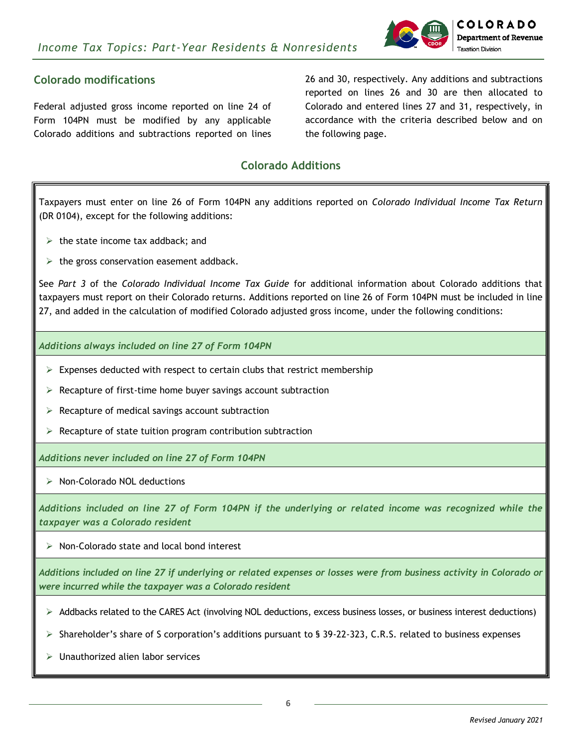

### **Colorado modifications**

Federal adjusted gross income reported on line 24 of Form 104PN must be modified by any applicable Colorado additions and subtractions reported on lines

26 and 30, respectively. Any additions and subtractions reported on lines 26 and 30 are then allocated to Colorado and entered lines 27 and 31, respectively, in accordance with the criteria described below and on the following page.

### **Colorado Additions**

Taxpayers must enter on line 26 of Form 104PN any additions reported on *Colorado Individual Income Tax Return*  (DR 0104), except for the following additions:

- $\triangleright$  the state income tax addback; and
- $\triangleright$  the gross conservation easement addback.

See *Part 3* of the *Colorado Individual Income Tax Guide* for additional information about Colorado additions that taxpayers must report on their Colorado returns. Additions reported on line 26 of Form 104PN must be included in line 27, and added in the calculation of modified Colorado adjusted gross income, under the following conditions:

*Additions always included on line 27 of Form 104PN*

- $\triangleright$  Expenses deducted with respect to certain clubs that restrict membership
- $\triangleright$  Recapture of first-time home buyer savings account subtraction
- $\triangleright$  Recapture of medical savings account subtraction
- $\triangleright$  Recapture of state tuition program contribution subtraction

*Additions never included on line 27 of Form 104PN*

 $\triangleright$  Non-Colorado NOL deductions

*Additions included on line 27 of Form 104PN if the underlying or related income was recognized while the taxpayer was a Colorado resident*

 $\triangleright$  Non-Colorado state and local bond interest

*Additions included on line 27 if underlying or related expenses or losses were from business activity in Colorado or were incurred while the taxpayer was a Colorado resident*

- $\triangleright$  Addbacks related to the CARES Act (involving NOL deductions, excess business losses, or business interest deductions)
- $\triangleright$  Shareholder's share of S corporation's additions pursuant to § 39-22-323, C.R.S. related to business expenses
- $\triangleright$  Unauthorized alien labor services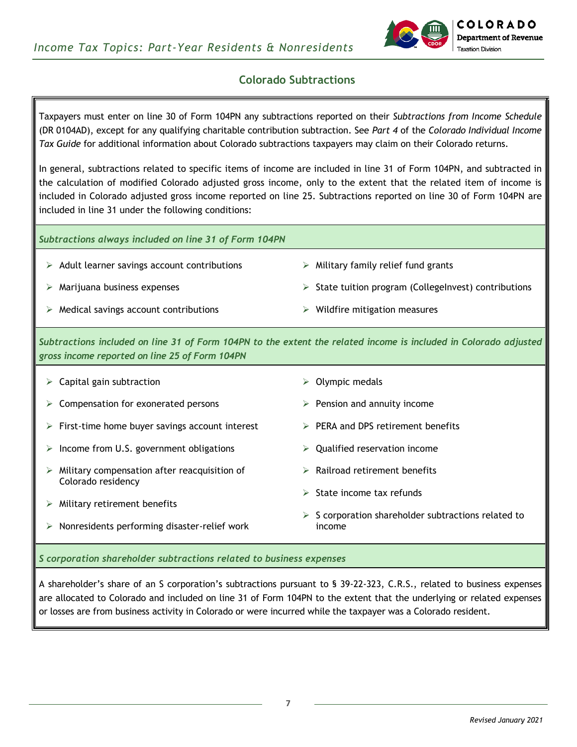

### **Colorado Subtractions**

Taxpayers must enter on line 30 of Form 104PN any subtractions reported on their *Subtractions from Income Schedule* (DR 0104AD), except for any qualifying charitable contribution subtraction. See *Part 4* of the *Colorado Individual Income Tax Guide* for additional information about Colorado subtractions taxpayers may claim on their Colorado returns.

In general, subtractions related to specific items of income are included in line 31 of Form 104PN, and subtracted in the calculation of modified Colorado adjusted gross income, only to the extent that the related item of income is included in Colorado adjusted gross income reported on line 25. Subtractions reported on line 30 of Form 104PN are included in line 31 under the following conditions:

*Subtractions always included on line 31 of Form 104PN*

- $\triangleright$  Adult learner savings account contributions
- $\triangleright$  Marijuana business expenses
- $\triangleright$  Medical savings account contributions
- $\triangleright$  Military family relief fund grants
- $\triangleright$  State tuition program (CollegeInvest) contributions
- $\triangleright$  Wildfire mitigation measures

*Subtractions included on line 31 of Form 104PN to the extent the related income is included in Colorado adjusted gross income reported on line 25 of Form 104PN*

 $\triangleright$  Capital gain subtraction  $\triangleright$  Compensation for exonerated persons  $\triangleright$  First-time home buyer savings account interest  $\triangleright$  Income from U.S. government obligations  $\triangleright$  Military compensation after reacquisition of Colorado residency  $\triangleright$  Military retirement benefits  $\triangleright$  Nonresidents performing disaster-relief work  $\triangleright$  Olympic medals  $\triangleright$  Pension and annuity income  $\triangleright$  PERA and DPS retirement benefits  $\triangleright$  Qualified reservation income  $\triangleright$  Railroad retirement benefits State income tax refunds  $\triangleright$  S corporation shareholder subtractions related to income

*S corporation shareholder subtractions related to business expenses*

A shareholder's share of an S corporation's subtractions pursuant to § 39-22-323, C.R.S., related to business expenses are allocated to Colorado and included on line 31 of Form 104PN to the extent that the underlying or related expenses or losses are from business activity in Colorado or were incurred while the taxpayer was a Colorado resident.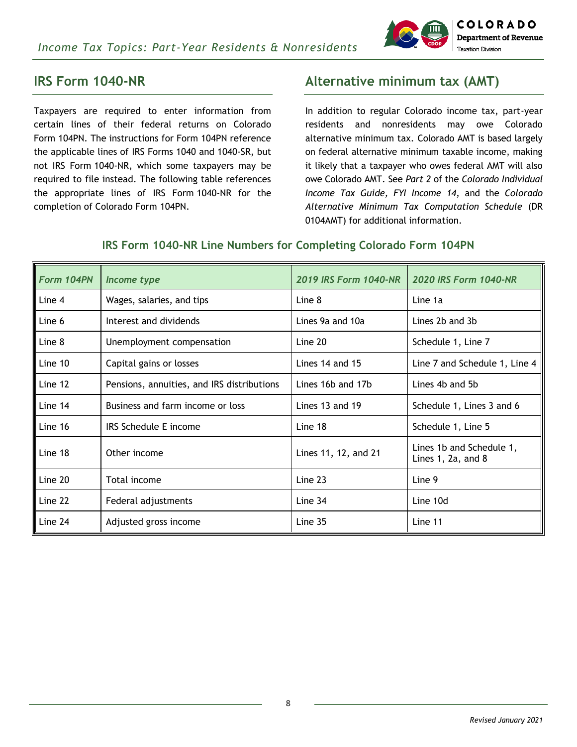

## **IRS Form 1040-NR**

Taxpayers are required to enter information from certain lines of their federal returns on Colorado Form 104PN. The instructions for Form 104PN reference the applicable lines of IRS Forms 1040 and 1040-SR, but not IRS Form 1040-NR, which some taxpayers may be required to file instead. The following table references the appropriate lines of IRS Form 1040-NR for the completion of Colorado Form 104PN.

# **Alternative minimum tax (AMT)**

In addition to regular Colorado income tax, part-year residents and nonresidents may owe Colorado alternative minimum tax. Colorado AMT is based largely on federal alternative minimum taxable income, making it likely that a taxpayer who owes federal AMT will also owe Colorado AMT. See *Part 2* of the *Colorado Individual Income Tax Guide, FYI Income 14*, and the *Colorado Alternative Minimum Tax Computation Schedule* (DR 0104AMT) for additional information.

| Form 104PN | Income type                                | 2019 IRS Form 1040-NR | <b>2020 IRS Form 1040-NR</b>                       |
|------------|--------------------------------------------|-----------------------|----------------------------------------------------|
| Line 4     | Wages, salaries, and tips                  | Line 8                | Line 1a                                            |
| Line 6     | Interest and dividends                     | Lines 9a and 10a      | Lines 2b and 3b                                    |
| Line 8     | Unemployment compensation                  | Line 20               | Schedule 1, Line 7                                 |
| Line 10    | Capital gains or losses                    | Lines 14 and 15       | Line 7 and Schedule 1, Line 4                      |
| Line 12    | Pensions, annuities, and IRS distributions | Lines 16b and 17b     | Lines 4b and 5b                                    |
| Line 14    | Business and farm income or loss           | Lines 13 and 19       | Schedule 1, Lines 3 and 6                          |
| Line 16    | IRS Schedule E income                      | Line 18               | Schedule 1, Line 5                                 |
| Line 18    | Other income                               | Lines 11, 12, and 21  | Lines 1b and Schedule 1,<br>Lines $1, 2a,$ and $8$ |
| Line 20    | Total income                               | Line $23$             | Line 9                                             |
| Line 22    | Federal adjustments                        | Line $34$             | Line 10d                                           |
| Line 24    | Adjusted gross income                      | Line $35$             | Line 11                                            |

### **IRS Form 1040-NR Line Numbers for Completing Colorado Form 104PN**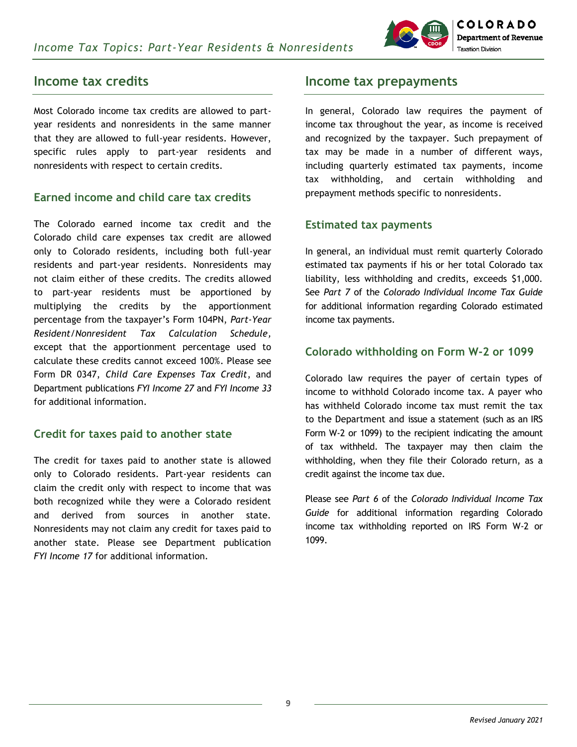

### **Income tax credits**

Most Colorado income tax credits are allowed to partyear residents and nonresidents in the same manner that they are allowed to full-year residents. However, specific rules apply to part-year residents and nonresidents with respect to certain credits.

### **Earned income and child care tax credits**

The Colorado earned income tax credit and the Colorado child care expenses tax credit are allowed only to Colorado residents, including both full-year residents and part-year residents. Nonresidents may not claim either of these credits. The credits allowed to part-year residents must be apportioned by multiplying the credits by the apportionment percentage from the taxpayer's Form 104PN, *Part-Year Resident/Nonresident Tax Calculation Schedule,* except that the apportionment percentage used to calculate these credits cannot exceed 100%. Please see Form DR 0347, *Child Care Expenses Tax Credit*, and Department publications *FYI Income 27* and *FYI Income 33* for additional information.

#### **Credit for taxes paid to another state**

The credit for taxes paid to another state is allowed only to Colorado residents. Part-year residents can claim the credit only with respect to income that was both recognized while they were a Colorado resident and derived from sources in another state. Nonresidents may not claim any credit for taxes paid to another state. Please see Department publication *FYI Income 17* for additional information.

## **Income tax prepayments**

In general, Colorado law requires the payment of income tax throughout the year, as income is received and recognized by the taxpayer. Such prepayment of tax may be made in a number of different ways, including quarterly estimated tax payments, income tax withholding, and certain withholding and prepayment methods specific to nonresidents.

### **Estimated tax payments**

In general, an individual must remit quarterly Colorado estimated tax payments if his or her total Colorado tax liability, less withholding and credits, exceeds \$1,000. See *Part 7* of the *Colorado Individual Income Tax Guide*  for additional information regarding Colorado estimated income tax payments.

### **Colorado withholding on Form W-2 or 1099**

Colorado law requires the payer of certain types of income to withhold Colorado income tax. A payer who has withheld Colorado income tax must remit the tax to the Department and issue a statement (such as an IRS Form W-2 or 1099) to the recipient indicating the amount of tax withheld. The taxpayer may then claim the withholding, when they file their Colorado return, as a credit against the income tax due.

Please see *Part 6* of the *Colorado Individual Income Tax Guide* for additional information regarding Colorado income tax withholding reported on IRS Form W-2 or 1099.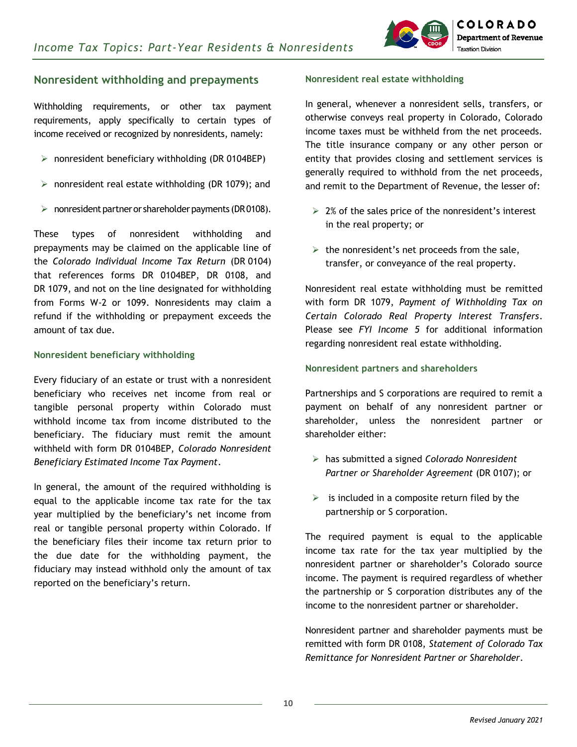

### **Nonresident withholding and prepayments**

Withholding requirements, or other tax payment requirements, apply specifically to certain types of income received or recognized by nonresidents, namely:

- $\triangleright$  nonresident beneficiary withholding (DR 0104BEP)
- $\triangleright$  nonresident real estate withholding (DR 1079); and
- $\triangleright$  nonresident partner or shareholder payments (DR0108).

These types of nonresident withholding and prepayments may be claimed on the applicable line of the *Colorado Individual Income Tax Return* (DR 0104) that references forms DR 0104BEP, DR 0108, and DR 1079, and not on the line designated for withholding from Forms W-2 or 1099. Nonresidents may claim a refund if the withholding or prepayment exceeds the amount of tax due.

#### **Nonresident beneficiary withholding**

Every fiduciary of an estate or trust with a nonresident beneficiary who receives net income from real or tangible personal property within Colorado must withhold income tax from income distributed to the beneficiary. The fiduciary must remit the amount withheld with form DR 0104BEP, *Colorado Nonresident Beneficiary Estimated Income Tax Payment*.

In general, the amount of the required withholding is equal to the applicable income tax rate for the tax year multiplied by the beneficiary's net income from real or tangible personal property within Colorado. If the beneficiary files their income tax return prior to the due date for the withholding payment, the fiduciary may instead withhold only the amount of tax reported on the beneficiary's return.

#### **Nonresident real estate withholding**

In general, whenever a nonresident sells, transfers, or otherwise conveys real property in Colorado, Colorado income taxes must be withheld from the net proceeds. The title insurance company or any other person or entity that provides closing and settlement services is generally required to withhold from the net proceeds, and remit to the Department of Revenue, the lesser of:

- $\geq$  2% of the sales price of the nonresident's interest in the real property; or
- $\triangleright$  the nonresident's net proceeds from the sale, transfer, or conveyance of the real property.

Nonresident real estate withholding must be remitted with form DR 1079, *Payment of Withholding Tax on Certain Colorado Real Property Interest Transfers*. Please see *FYI Income 5* for additional information regarding nonresident real estate withholding.

#### **Nonresident partners and shareholders**

Partnerships and S corporations are required to remit a payment on behalf of any nonresident partner or shareholder, unless the nonresident partner or shareholder either:

- has submitted a signed *Colorado Nonresident Partner or Shareholder Agreement* (DR 0107); or
- $\triangleright$  is included in a composite return filed by the partnership or S corporation.

The required payment is equal to the applicable income tax rate for the tax year multiplied by the nonresident partner or shareholder's Colorado source income. The payment is required regardless of whether the partnership or S corporation distributes any of the income to the nonresident partner or shareholder.

Nonresident partner and shareholder payments must be remitted with form DR 0108, *Statement of Colorado Tax Remittance for Nonresident Partner or Shareholder*.